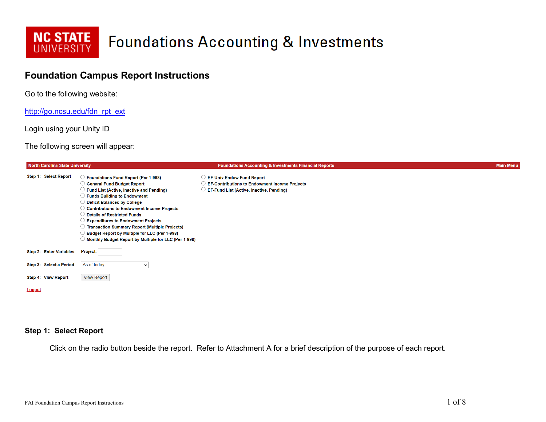

### **Foundation Campus Report Instructions**

Go to the following website:

[http://go.ncsu.edu/fdn\\_rpt\\_ext](http://go.ncsu.edu/fdn_rpt_ext)

Login using your Unity ID

The following screen will appear:

| North Carolina State University |                                                                                                                                                                                                                                                                                                                                                                                                                                                                                                           | <b>Foundations Accounting &amp; Investments Financial Reports</b>                                                                    | <b>Main Menu</b> |
|---------------------------------|-----------------------------------------------------------------------------------------------------------------------------------------------------------------------------------------------------------------------------------------------------------------------------------------------------------------------------------------------------------------------------------------------------------------------------------------------------------------------------------------------------------|--------------------------------------------------------------------------------------------------------------------------------------|------------------|
| Step 1: Select Report           | <b>Foundations Fund Report (Per 1-998)</b><br><b>General Fund Budget Report</b><br>Fund List (Active, Inactive and Pending)<br>Funds Building to Endowment<br><b>Deficit Balances by College</b><br><b>Contributions to Endowment Income Projects</b><br>$\,$ Details of Restricted Funds<br><b>Expenditures to Endowment Projects</b><br><b>Transaction Summary Report (Multiple Projects)</b><br>Budget Report by Multiple for LLC (Per 1-998)<br>Monthly Budget Report by Multiple for LLC (Per 1-998) | <b>EF-Univ Endow Fund Report</b><br><b>EF-Contributions to Endowment Income Projects</b><br>EF-Fund List (Active, Inactive, Pending) |                  |
| Step 2: Enter Variables         | Project:                                                                                                                                                                                                                                                                                                                                                                                                                                                                                                  |                                                                                                                                      |                  |
| Step 3: Select a Period         | As of today<br>$\check{ }$                                                                                                                                                                                                                                                                                                                                                                                                                                                                                |                                                                                                                                      |                  |
| Step 4: View Report             | <b>View Report</b>                                                                                                                                                                                                                                                                                                                                                                                                                                                                                        |                                                                                                                                      |                  |
| <b>Logout</b>                   |                                                                                                                                                                                                                                                                                                                                                                                                                                                                                                           |                                                                                                                                      |                  |

#### **Step 1: Select Report**

Click on the radio button beside the report. Refer to Attachment A for a brief description of the purpose of each report.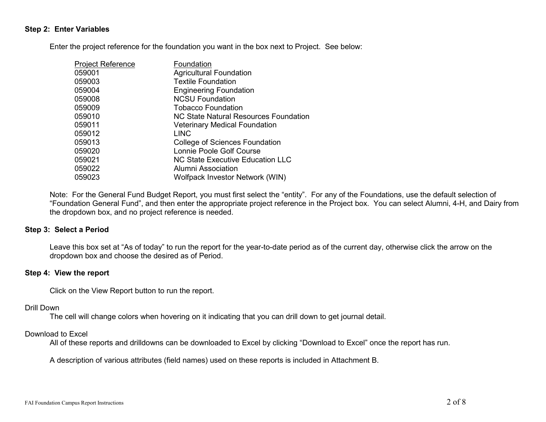#### **Step 2: Enter Variables**

Enter the project reference for the foundation you want in the box next to Project. See below:

| <b>Project Reference</b> | Foundation                            |
|--------------------------|---------------------------------------|
| 059001                   | <b>Agricultural Foundation</b>        |
| 059003                   | <b>Textile Foundation</b>             |
| 059004                   | <b>Engineering Foundation</b>         |
| 059008                   | <b>NCSU Foundation</b>                |
| 059009                   | <b>Tobacco Foundation</b>             |
| 059010                   | NC State Natural Resources Foundation |
| 059011                   | <b>Veterinary Medical Foundation</b>  |
| 059012                   | <b>LINC</b>                           |
| 059013                   | College of Sciences Foundation        |
| 059020                   | Lonnie Poole Golf Course              |
| 059021                   | NC State Executive Education LLC      |
| 059022                   | Alumni Association                    |
| 059023                   | Wolfpack Investor Network (WIN)       |

Note: For the General Fund Budget Report, you must first select the "entity". For any of the Foundations, use the default selection of "Foundation General Fund", and then enter the appropriate project reference in the Project box. You can select Alumni, 4-H, and Dairy from the dropdown box, and no project reference is needed.

#### **Step 3: Select a Period**

Leave this box set at "As of today" to run the report for the year-to-date period as of the current day, otherwise click the arrow on the dropdown box and choose the desired as of Period.

#### **Step 4: View the report**

Click on the View Report button to run the report.

#### Drill Down

The cell will change colors when hovering on it indicating that you can drill down to get journal detail.

#### Download to Excel

All of these reports and drilldowns can be downloaded to Excel by clicking "Download to Excel" once the report has run.

A description of various attributes (field names) used on these reports is included in Attachment B.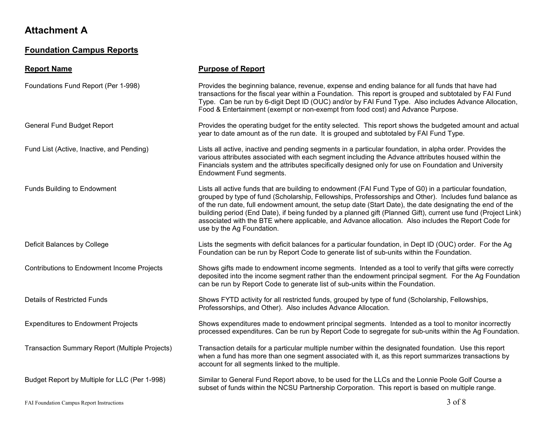### **Foundation Campus Reports**

### **Report Name Purpose of Report** Foundations Fund Report (Per 1-998) Provides the beginning balance, revenue, expense and ending balance for all funds that have had transactions for the fiscal year within a Foundation. This report is grouped and subtotaled by FAI Fund Type. Can be run by 6-digit Dept ID (OUC) and/or by FAI Fund Type. Also includes Advance Allocation, Food & Entertainment (exempt or non-exempt from food cost) and Advance Purpose. General Fund Budget Report Provides the operating budget for the entity selected. This report shows the budgeted amount and actual year to date amount as of the run date. It is grouped and subtotaled by FAI Fund Type. Fund List (Active, Inactive, and Pending) Lists all active, inactive and pending segments in a particular foundation, in alpha order. Provides the various attributes associated with each segment including the Advance attributes housed within the Financials system and the attributes specifically designed only for use on Foundation and University Endowment Fund segments. Funds Building to Endowment Lists all active funds that are building to endowment (FAI Fund Type of G0) in a particular foundation, grouped by type of fund (Scholarship, Fellowships, Professorships and Other). Includes fund balance as of the run date, full endowment amount, the setup date (Start Date), the date designating the end of the building period (End Date), if being funded by a planned gift (Planned Gift), current use fund (Project Link) associated with the BTE where applicable, and Advance allocation. Also includes the Report Code for use by the Ag Foundation. Deficit Balances by College Lists the segments with deficit balances for a particular foundation, in Dept ID (OUC) order. For the Ag Foundation can be run by Report Code to generate list of sub-units within the Foundation. Contributions to Endowment Income Projects Shows gifts made to endowment income segments. Intended as a tool to verify that gifts were correctly deposited into the income segment rather than the endowment principal segment. For the Ag Foundation can be run by Report Code to generate list of sub-units within the Foundation. Details of Restricted Funds **Shows FYTD activity for all restricted funds**, grouped by type of fund (Scholarship, Fellowships, Professorships, and Other). Also includes Advance Allocation. Expenditures to Endowment Projects Shows expenditures made to endowment principal segments. Intended as a tool to monitor incorrectly processed expenditures. Can be run by Report Code to segregate for sub-units within the Ag Foundation. Transaction Summary Report (Multiple Projects) Transaction details for a particular multiple number within the designated foundation. Use this report when a fund has more than one segment associated with it, as this report summarizes transactions by account for all segments linked to the multiple. Budget Report by Multiple for LLC (Per 1-998) Similar to General Fund Report above, to be used for the LLCs and the Lonnie Poole Golf Course a subset of funds within the NCSU Partnership Corporation. This report is based on multiple range.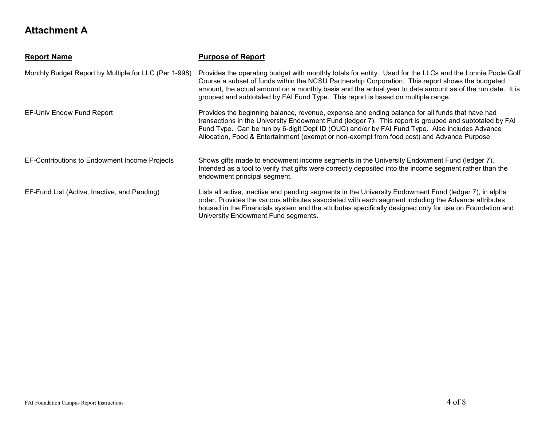| <b>Report Name</b>                                    | <b>Purpose of Report</b>                                                                                                                                                                                                                                                                                                                                                                                       |
|-------------------------------------------------------|----------------------------------------------------------------------------------------------------------------------------------------------------------------------------------------------------------------------------------------------------------------------------------------------------------------------------------------------------------------------------------------------------------------|
| Monthly Budget Report by Multiple for LLC (Per 1-998) | Provides the operating budget with monthly totals for entity. Used for the LLCs and the Lonnie Poole Golf<br>Course a subset of funds within the NCSU Partnership Corporation. This report shows the budgeted<br>amount, the actual amount on a monthly basis and the actual year to date amount as of the run date. It is<br>grouped and subtotaled by FAI Fund Type. This report is based on multiple range. |
| EF-Univ Endow Fund Report                             | Provides the beginning balance, revenue, expense and ending balance for all funds that have had<br>transactions in the University Endowment Fund (ledger 7). This report is grouped and subtotaled by FAI<br>Fund Type. Can be run by 6-digit Dept ID (OUC) and/or by FAI Fund Type. Also includes Advance<br>Allocation, Food & Entertainment (exempt or non-exempt from food cost) and Advance Purpose.      |
| EF-Contributions to Endowment Income Projects         | Shows gifts made to endowment income segments in the University Endowment Fund (ledger 7).<br>Intended as a tool to verify that gifts were correctly deposited into the income segment rather than the<br>endowment principal segment.                                                                                                                                                                         |
| EF-Fund List (Active, Inactive, and Pending)          | Lists all active, inactive and pending segments in the University Endowment Fund (ledger 7), in alpha<br>order. Provides the various attributes associated with each segment including the Advance attributes<br>housed in the Financials system and the attributes specifically designed only for use on Foundation and<br>University Endowment Fund segments.                                                |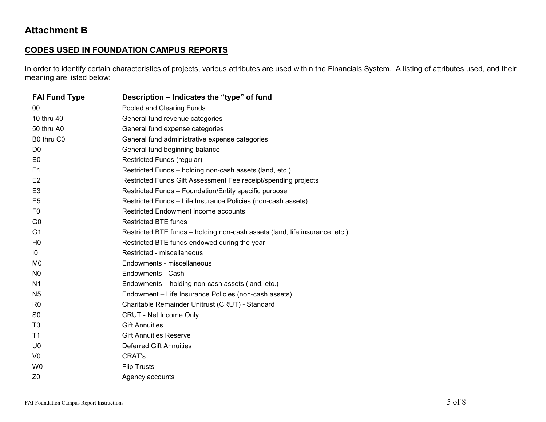#### **CODES USED IN FOUNDATION CAMPUS REPORTS**

In order to identify certain characteristics of projects, various attributes are used within the Financials System. A listing of attributes used, and their meaning are listed below:

| <b>FAI Fund Type</b> | Description – Indicates the "type" of fund                                  |
|----------------------|-----------------------------------------------------------------------------|
| $00\,$               | Pooled and Clearing Funds                                                   |
| 10 thru 40           | General fund revenue categories                                             |
| 50 thru A0           | General fund expense categories                                             |
| B0 thru C0           | General fund administrative expense categories                              |
| D <sub>0</sub>       | General fund beginning balance                                              |
| E <sub>0</sub>       | Restricted Funds (regular)                                                  |
| E1                   | Restricted Funds - holding non-cash assets (land, etc.)                     |
| E <sub>2</sub>       | Restricted Funds Gift Assessment Fee receipt/spending projects              |
| E <sub>3</sub>       | Restricted Funds - Foundation/Entity specific purpose                       |
| E <sub>5</sub>       | Restricted Funds - Life Insurance Policies (non-cash assets)                |
| F <sub>0</sub>       | Restricted Endowment income accounts                                        |
| G <sub>0</sub>       | <b>Restricted BTE funds</b>                                                 |
| G <sub>1</sub>       | Restricted BTE funds - holding non-cash assets (land, life insurance, etc.) |
| H <sub>0</sub>       | Restricted BTE funds endowed during the year                                |
| 10                   | Restricted - miscellaneous                                                  |
| M <sub>0</sub>       | Endowments - miscellaneous                                                  |
| N <sub>0</sub>       | Endowments - Cash                                                           |
| N <sub>1</sub>       | Endowments - holding non-cash assets (land, etc.)                           |
| N <sub>5</sub>       | Endowment - Life Insurance Policies (non-cash assets)                       |
| R <sub>0</sub>       | Charitable Remainder Unitrust (CRUT) - Standard                             |
| S <sub>0</sub>       | <b>CRUT - Net Income Only</b>                                               |
| T <sub>0</sub>       | <b>Gift Annuities</b>                                                       |
| T <sub>1</sub>       | <b>Gift Annuities Reserve</b>                                               |
| U <sub>0</sub>       | Deferred Gift Annuities                                                     |
| V <sub>0</sub>       | CRAT's                                                                      |
| W <sub>0</sub>       | <b>Flip Trusts</b>                                                          |
| Z <sub>0</sub>       | Agency accounts                                                             |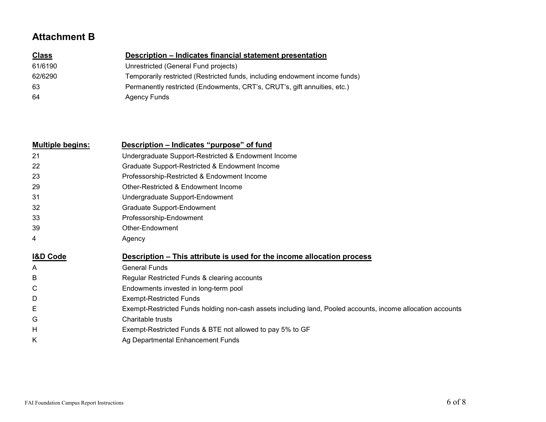| <b>Class</b> | Description – Indicates financial statement presentation                    |
|--------------|-----------------------------------------------------------------------------|
| 61/6190      | Unrestricted (General Fund projects)                                        |
| 62/6290      | Temporarily restricted (Restricted funds, including endowment income funds) |
| 63           | Permanently restricted (Endowments, CRT's, CRUT's, gift annuities, etc.)    |
| 64           | <b>Agency Funds</b>                                                         |

| <b>Multiple begins:</b> | Description – Indicates "purpose" of fund                                                                   |
|-------------------------|-------------------------------------------------------------------------------------------------------------|
| 21                      | Undergraduate Support-Restricted & Endowment Income                                                         |
| 22                      | Graduate Support-Restricted & Endowment Income                                                              |
| 23                      | Professorship-Restricted & Endowment Income                                                                 |
| 29                      | Other-Restricted & Endowment Income                                                                         |
| 31                      | Undergraduate Support-Endowment                                                                             |
| 32                      | Graduate Support-Endowment                                                                                  |
| 33                      | Professorship-Endowment                                                                                     |
| 39                      | Other-Endowment                                                                                             |
| 4                       | Agency                                                                                                      |
| <b>I&amp;D Code</b>     | Description – This attribute is used for the income allocation process                                      |
| A                       | <b>General Funds</b>                                                                                        |
| В                       | Regular Restricted Funds & clearing accounts                                                                |
| С                       | Endowments invested in long-term pool                                                                       |
| D                       | <b>Exempt-Restricted Funds</b>                                                                              |
| E                       | Exempt-Restricted Funds holding non-cash assets including land, Pooled accounts, income allocation accounts |
| G                       | Charitable trusts                                                                                           |
| Н                       | Exempt-Restricted Funds & BTE not allowed to pay 5% to GF                                                   |
| Κ                       | Ag Departmental Enhancement Funds                                                                           |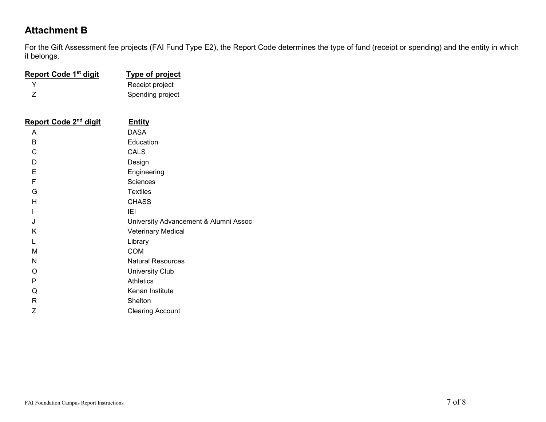For the Gift Assessment fee projects (FAI Fund Type E2), the Report Code determines the type of fund (receipt or spending) and the entity in which it belongs.

| <b>Report Code 1st digit</b>      | <b>Type of project</b>                |  |
|-----------------------------------|---------------------------------------|--|
| Y                                 | Receipt project                       |  |
| Z                                 | Spending project                      |  |
|                                   |                                       |  |
| Report Code 2 <sup>nd</sup> digit | <b>Entity</b>                         |  |
| A                                 | <b>DASA</b>                           |  |
| В                                 | Education                             |  |
| C                                 | <b>CALS</b>                           |  |
| D                                 | Design                                |  |
| E                                 | Engineering                           |  |
| F                                 | <b>Sciences</b>                       |  |
| G                                 | <b>Textiles</b>                       |  |
| H                                 | <b>CHASS</b>                          |  |
| L                                 | IEI                                   |  |
| J                                 | University Advancement & Alumni Assoc |  |
| Κ                                 | Veterinary Medical                    |  |
| L                                 | Library                               |  |
| М                                 | <b>COM</b>                            |  |
| N                                 | <b>Natural Resources</b>              |  |
| O                                 | <b>University Club</b>                |  |
| P                                 | <b>Athletics</b>                      |  |
| Q                                 | Kenan Institute                       |  |
| R                                 | Shelton                               |  |
| Ζ                                 | <b>Clearing Account</b>               |  |